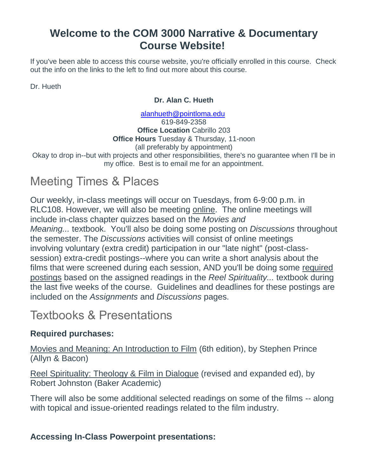## **Welcome to the COM 3000 Narrative & Documentary Course Website!**

If you've been able to access this course website, you're officially enrolled in this course. Check out the info on the links to the left to find out more about this course.

Dr. Hueth

#### **Dr. Alan C. Hueth**

[alanhueth@pointloma.edu](mailto:alanhueth@pointloma.edu) 619-849-2358 **Office Location** Cabrillo 203 **Office Hours** Tuesday & Thursday, 11-noon (all preferably by appointment)

Okay to drop in--but with projects and other responsibilities, there's no guarantee when I'll be in my office. Best is to email me for an appointment.

# Meeting Times & Places

Our weekly, in-class meetings will occur on Tuesdays, from 6-9:00 p.m. in RLC108. However, we will also be meeting online. The online meetings will include in-class chapter quizzes based on the *Movies and Meaning...* textbook. You'll also be doing some posting on *Discussions* throughout the semester. The *Discussions* activities will consist of online meetings involving voluntary (extra credit) participation in our "late night" (post-classsession) extra-credit postings--where you can write a short analysis about the films that were screened during each session, AND you'll be doing some required postings based on the assigned readings in the *Reel Spirituality...* textbook during the last five weeks of the course. Guidelines and deadlines for these postings are included on the *Assignments* and *Discussions* pages.

# Textbooks & Presentations

### **Required purchases:**

Movies and Meaning: An Introduction to Film (6th edition), by Stephen Prince (Allyn & Bacon)

Reel Spirituality: Theology & Film in Dialogue (revised and expanded ed), by Robert Johnston (Baker Academic)

There will also be some additional selected readings on some of the films -- along with topical and issue-oriented readings related to the film industry.

### **Accessing In-Class Powerpoint presentations:**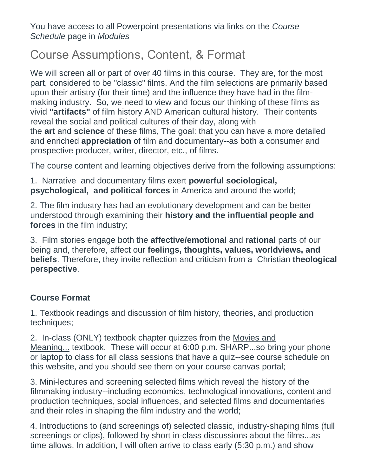You have access to all Powerpoint presentations via links on the *Course Schedule* page in *Modules*

# Course Assumptions, Content, & Format

We will screen all or part of over 40 films in this course. They are, for the most part, considered to be "classic" films. And the film selections are primarily based upon their artistry (for their time) and the influence they have had in the filmmaking industry. So, we need to view and focus our thinking of these films as vivid **"artifacts"** of film history AND American cultural history. Their contents reveal the social and political cultures of their day, along with the **art** and **science** of these films, The goal: that you can have a more detailed and enriched **appreciation** of film and documentary--as both a consumer and prospective producer, writer, director, etc., of films.

The course content and learning objectives derive from the following assumptions:

1. Narrative and documentary films exert **powerful sociological, psychological, and political forces** in America and around the world;

2. The film industry has had an evolutionary development and can be better understood through examining their **history and the influential people and forces** in the film industry;

3. Film stories engage both the **affective/emotional** and **rational** parts of our being and, therefore, affect our **feelings, thoughts, values, worldviews, and beliefs**. Therefore, they invite reflection and criticism from a Christian **theological perspective**.

### **Course Format**

1. Textbook readings and discussion of film history, theories, and production techniques;

2. In-class (ONLY) textbook chapter quizzes from the Movies and Meaning... textbook. These will occur at 6:00 p.m. SHARP...so bring your phone or laptop to class for all class sessions that have a quiz--see course schedule on this website, and you should see them on your course canvas portal;

3. Mini-lectures and screening selected films which reveal the history of the filmmaking industry--including economics, technological innovations, content and production techniques, social influences, and selected films and documentaries and their roles in shaping the film industry and the world;

4. Introductions to (and screenings of) selected classic, industry-shaping films (full screenings or clips), followed by short in-class discussions about the films...as time allows. In addition, I will often arrive to class early (5:30 p.m.) and show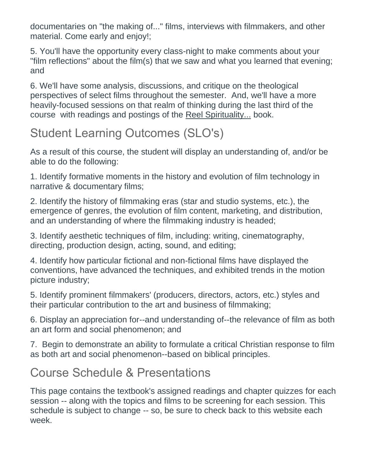documentaries on "the making of..." films, interviews with filmmakers, and other material. Come early and enjoy!;

5. You'll have the opportunity every class-night to make comments about your "film reflections" about the film(s) that we saw and what you learned that evening; and

6. We'll have some analysis, discussions, and critique on the theological perspectives of select films throughout the semester. And, we'll have a more heavily-focused sessions on that realm of thinking during the last third of the course with readings and postings of the Reel Spirituality... book.

# Student Learning Outcomes (SLO's)

As a result of this course, the student will display an understanding of, and/or be able to do the following:

1. Identify formative moments in the history and evolution of film technology in narrative & documentary films;

2. Identify the history of filmmaking eras (star and studio systems, etc.), the emergence of genres, the evolution of film content, marketing, and distribution, and an understanding of where the filmmaking industry is headed;

3. Identify aesthetic techniques of film, including: writing, cinematography, directing, production design, acting, sound, and editing;

4. Identify how particular fictional and non-fictional films have displayed the conventions, have advanced the techniques, and exhibited trends in the motion picture industry;

5. Identify prominent filmmakers' (producers, directors, actors, etc.) styles and their particular contribution to the art and business of filmmaking;

6. Display an appreciation for--and understanding of--the relevance of film as both an art form and social phenomenon; and

7. Begin to demonstrate an ability to formulate a critical Christian response to film as both art and social phenomenon--based on biblical principles.

# Course Schedule & Presentations

This page contains the textbook's assigned readings and chapter quizzes for each session -- along with the topics and films to be screening for each session. This schedule is subject to change -- so, be sure to check back to this website each week.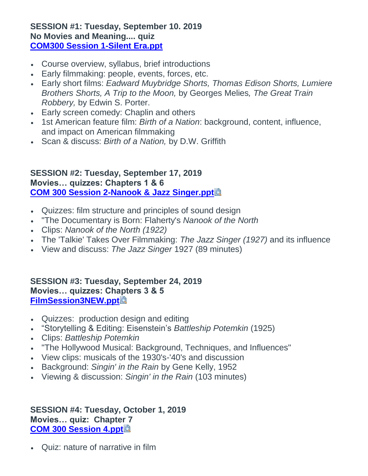#### **SESSION #1: Tuesday, September 10. 2019 No Movies and Meaning.... quiz [COM300 Session 1-Silent Era.ppt](https://canvas.pointloma.edu/courses/45669/files/2717842/download)**

- Course overview, syllabus, brief introductions
- Early filmmaking: people, events, forces, etc.
- Early short films: *Eadward Muybridge Shorts, Thomas Edison Shorts, Lumiere Brothers Shorts, A Trip to the Moon,* by Georges Melies*, The Great Train Robbery,* by Edwin S. Porter.
- Early screen comedy: Chaplin and others
- 1st American feature film: *Birth of a Nation*: background, content, influence, and impact on American filmmaking
- Scan & discuss: *Birth of a Nation,* by D.W. Griffith

### **SESSION #2: Tuesday, September 17, 2019 Movies… quizzes: Chapters 1 & 6 [COM 300 Session 2-Nanook & Jazz Singer.ppt](https://canvas.pointloma.edu/courses/45669/files/2717859/download?wrap=1)**

- Quizzes: film structure and principles of sound design
- "The Documentary is Born: Flaherty's *Nanook of the North*
- Clips: *Nanook of the North (1922)*
- The 'Talkie' Takes Over Filmmaking: *The Jazz Singer (1927)* and its influence
- View and discuss: *The Jazz Singer* 1927 (89 minutes)

### **SESSION #3: Tuesday, September 24, 2019 Movies… quizzes: Chapters 3 & 5 [FilmSession3NEW.ppt](https://canvas.pointloma.edu/courses/45669/files/2717799/download?wrap=1)**

- Quizzes: production design and editing
- "Storytelling & Editing: Eisenstein's *Battleship Potemkin* (1925)
- Clips: *Battleship Potemkin*
- "The Hollywood Musical: Background, Techniques, and Influences"
- View clips: musicals of the 1930's-'40's and discussion
- Background: *Singin' in the Rain* by Gene Kelly, 1952
- Viewing & discussion: *Singin' in the Rain* (103 minutes)

### **SESSION #4: Tuesday, October 1, 2019 Movies… quiz: Chapter 7 [COM 300 Session 4.ppt](https://canvas.pointloma.edu/courses/45669/files/2717851/download?wrap=1)**

Quiz: nature of narrative in film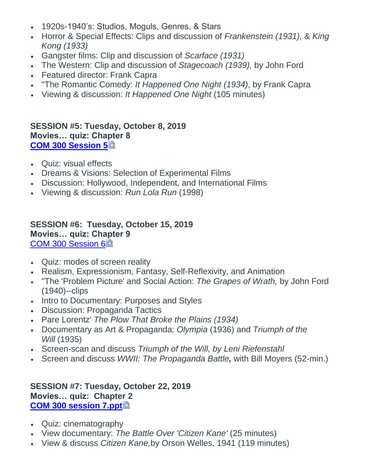- 1920s-1940's: Studios, Moguls, Genres, & Stars
- Horror & Special Effects: Clips and discussion of *Frankenstein (1931),* & *King Kong (1933)*
- Gangster films: Clip and discussion of *Scarface (1931)*
- The Western: Clip and discussion of *Stagecoach (1939),* by John Ford
- Featured director: Frank Capra
- "The Romantic Comedy: *It Happened One Night (1934)*, by Frank Capra
- Viewing & discussion: *It Happened One Night* (105 minutes)

### **SESSION #5: Tuesday, October 8, 2019 Movies… quiz: Chapter 8 [COM 300 Session 5](https://canvas.pointloma.edu/courses/45669/files/2717847/download?wrap=1)**

- Quiz: visual effects
- Dreams & Visions: Selection of Experimental Films
- Discussion: Hollywood, Independent, and International Films
- Viewing & discussion: *Run Lola Run* (1998)

### **SESSION #6: Tuesday, October 15, 2019 Movies… quiz: Chapter 9** [COM 300 Session 6](https://canvas.pointloma.edu/courses/45669/files/2717860/download?wrap=1)

- Quiz: modes of screen reality
- Realism, Expressionism, Fantasy, Self-Reflexivity, and Animation
- "The 'Problem Picture' and Social Action: *The Grapes of Wrath,* by John Ford (1940)--clips
- Intro to Documentary: Purposes and Styles
- Discussion: Propaganda Tactics
- Pare Lorentz' *The Plow That Broke the Plains (1934)*
- Documentary as Art & Propaganda: *Olympia* (1936) and *Triumph of the Will* (1935)
- Screen-scan and discuss *Triumph of the Will, by Leni Riefenstahl*
- Screen and discuss *WWII: The Propaganda Battle,* with Bill Moyers (52-min.)

#### **SESSION #7: Tuesday, October 22, 2019 Movies… quiz: Chapter 2 [COM 300 session 7.ppt](https://canvas.pointloma.edu/courses/45669/files/2717803/download?wrap=1)**

- Quiz: cinematography
- View documentary: *The Battle Over 'Citizen Kane'* (25 minutes)
- View & discuss *Citizen Kane,*by Orson Welles, 1941 (119 minutes)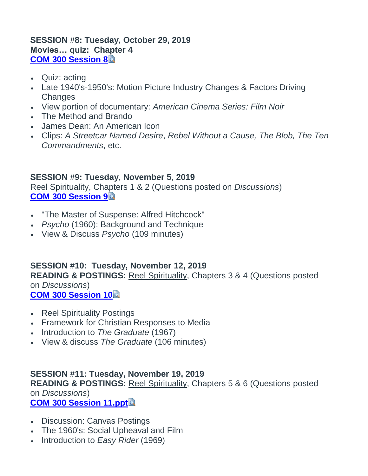### **SESSION #8: Tuesday, October 29, 2019 Movies… quiz: Chapter 4 [COM 300 Session 8](https://canvas.pointloma.edu/courses/45669/files/2717876/download?wrap=1)**

- Quiz: acting
- Late 1940's-1950's: Motion Picture Industry Changes & Factors Driving **Changes**
- View portion of documentary: *American Cinema Series: Film Noir*
- The Method and Brando
- James Dean: An American Icon
- Clips: *A Streetcar Named Desire*, *Rebel Without a Cause, The Blob, The Ten Commandments*, etc.

### **SESSION #9: Tuesday, November 5, 2019**

Reel Spirituality, Chapters 1 & 2 (Questions posted on *Discussions*) **[COM 300 Session 9](https://canvas.pointloma.edu/courses/45669/files/2717848/download?wrap=1)**

- "The Master of Suspense: Alfred Hitchcock"
- *Psycho* (1960): Background and Technique
- View & Discuss *Psycho* (109 minutes)

## **SESSION #10: Tuesday, November 12, 2019**

**READING & POSTINGS:** Reel Spirituality, Chapters 3 & 4 (Questions posted on *Discussions*)

**[COM 300 Session 10](https://canvas.pointloma.edu/courses/45669/files/2717877/download?wrap=1)**

- Reel Spirituality Postings
- Framework for Christian Responses to Media
- Introduction to *The Graduate* (1967)
- View & discuss *The Graduate* (106 minutes)

## **SESSION #11: Tuesday, November 19, 2019**

**READING & POSTINGS:** Reel Spirituality, Chapters 5 & 6 (Questions posted on *Discussions*)

### **[COM 300 Session 11.ppt](https://canvas.pointloma.edu/courses/45669/files/2717837/download?wrap=1)**

- Discussion: Canvas Postings
- The 1960's: Social Upheaval and Film
- Introduction to *Easy Rider* (1969)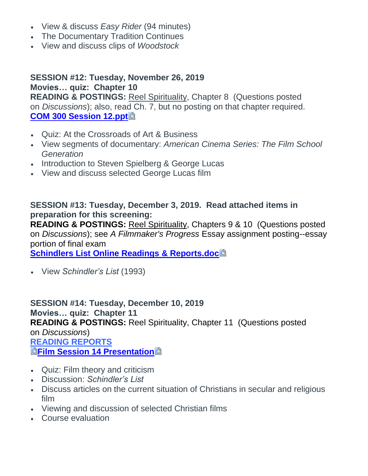- View & discuss *Easy Rider* (94 minutes)
- The Documentary Tradition Continues
- View and discuss clips of *Woodstock*

### **SESSION #12: Tuesday, November 26, 2019 Movies… quiz: Chapter 10**

**READING & POSTINGS:** Reel Spirituality, Chapter 8 (Questions posted on *Discussions*); also, read Ch. 7, but no posting on that chapter required. **[COM 300 Session 12.ppt](https://canvas.pointloma.edu/courses/45669/files/2717833/download?wrap=1)**

- Quiz: At the Crossroads of Art & Business
- View segments of documentary: *American Cinema Series: The Film School Generation*
- Introduction to Steven Spielberg & George Lucas
- View and discuss selected George Lucas film

### **SESSION #13: Tuesday, December 3, 2019. Read attached items in preparation for this screening:**

**READING & POSTINGS:** Reel Spirituality, Chapters 9 & 10 (Questions posted on *Discussions*); see *A Filmmaker's Progress* Essay assignment posting--essay portion of final exam

**[Schindlers List Online Readings & Reports.doc](https://canvas.pointloma.edu/courses/45669/files/2724488/download?wrap=1)**

View *Schindler's List* (1993)

**SESSION #14: Tuesday, December 10, 2019 Movies… quiz: Chapter 11 READING & POSTINGS:** Reel Spirituality, Chapter 11 (Questions posted on *Discussions*) **[READING REPORTS](https://canvas.pointloma.edu/courses/45669/files/2724793/download?wrap=1) <b><b><u>a[Film Session 14 Presentation](https://canvas.pointloma.edu/courses/45669/files/2717874/download?wrap=1)**</u>

- Quiz: Film theory and criticism
- Discussion: *Schindler's List*
- Discuss articles on the current situation of Christians in secular and religious film
- Viewing and discussion of selected Christian films
- Course evaluation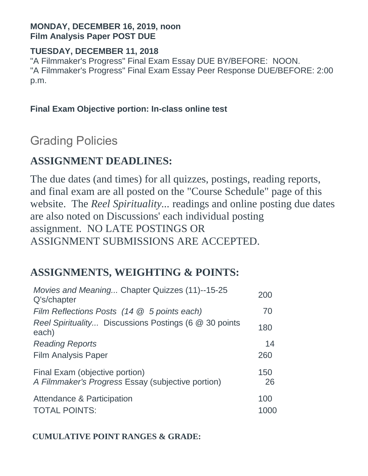### **MONDAY, DECEMBER 16, 2019, noon Film Analysis Paper POST DUE**

### **TUESDAY, DECEMBER 11, 2018**

"A Filmmaker's Progress" Final Exam Essay DUE BY/BEFORE: NOON. "A Filmmaker's Progress" Final Exam Essay Peer Response DUE/BEFORE: 2:00 p.m.

## **Final Exam Objective portion: In-class online test**

# Grading Policies

# **ASSIGNMENT DEADLINES:**

The due dates (and times) for all quizzes, postings, reading reports, and final exam are all posted on the "Course Schedule" page of this website. The *Reel Spirituality...* readings and online posting due dates are also noted on Discussions' each individual posting assignment. NO LATE POSTINGS OR ASSIGNMENT SUBMISSIONS ARE ACCEPTED.

# **ASSIGNMENTS, WEIGHTING & POINTS:**

| Movies and Meaning Chapter Quizzes (11)--15-25<br>Q's/chapter                       | 200       |
|-------------------------------------------------------------------------------------|-----------|
| Film Reflections Posts $(14 \otimes 5$ points each)                                 | 70        |
| Reel Spirituality Discussions Postings (6 @ 30 points<br>each)                      | 180       |
| <b>Reading Reports</b>                                                              | 14        |
| <b>Film Analysis Paper</b>                                                          | 260       |
| Final Exam (objective portion)<br>A Filmmaker's Progress Essay (subjective portion) | 150<br>26 |
| Attendance & Participation<br><b>TOTAL POINTS:</b>                                  | 100       |

## **CUMULATIVE POINT RANGES & GRADE:**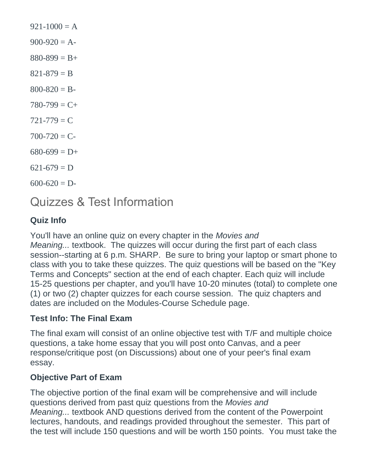$921-1000 = A$  $900-920 = A$  $880-899 = B +$  $821 - 879 = B$  $800 - 820 = B$  $780-799 = C+$  $721 - 779 = C$  $700 - 720 = C$  $680-699 = D+$  $621-679 = D$  $600 - 620 = D$ 

Quizzes & Test Information

## **Quiz Info**

You'll have an online quiz on every chapter in the *Movies and Meaning...* textbook. The quizzes will occur during the first part of each class session--starting at 6 p.m. SHARP. Be sure to bring your laptop or smart phone to class with you to take these quizzes. The quiz questions will be based on the "Key Terms and Concepts" section at the end of each chapter. Each quiz will include 15-25 questions per chapter, and you'll have 10-20 minutes (total) to complete one (1) or two (2) chapter quizzes for each course session. The quiz chapters and dates are included on the Modules-Course Schedule page.

### **Test Info: The Final Exam**

The final exam will consist of an online objective test with T/F and multiple choice questions, a take home essay that you will post onto Canvas, and a peer response/critique post (on Discussions) about one of your peer's final exam essay.

### **Objective Part of Exam**

The objective portion of the final exam will be comprehensive and will include questions derived from past quiz questions from the *Movies and Meaning...* textbook AND questions derived from the content of the Powerpoint lectures, handouts, and readings provided throughout the semester. This part of the test will include 150 questions and will be worth 150 points. You must take the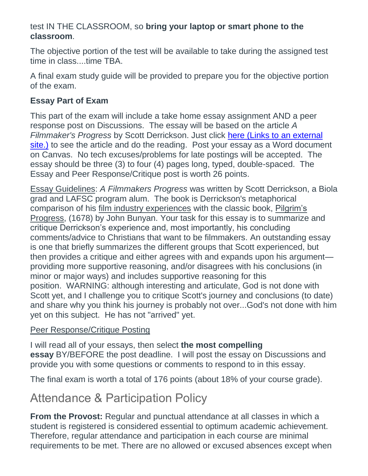### test IN THE CLASSROOM, so **bring your laptop or smart phone to the classroom**.

The objective portion of the test will be available to take during the assigned test time in class....time TBA.

A final exam study guide will be provided to prepare you for the objective portion of the exam.

### **Essay Part of Exam**

This part of the exam will include a take home essay assignment AND a peer response post on Discussions. The essay will be based on the article *A Filmmaker's Progress* by Scott Derrickson. Just click here (Links to an [external](http://www.youthworker.com/youth-ministry-resources-ideas/youth-ministry/11552612/) [site.\)](http://www.youthworker.com/youth-ministry-resources-ideas/youth-ministry/11552612/) to see the article and do the reading. Post your essay as a Word document on Canvas. No tech excuses/problems for late postings will be accepted. The essay should be three (3) to four (4) pages long, typed, double-spaced. The Essay and Peer Response/Critique post is worth 26 points.

Essay Guidelines: *A Filmmakers Progress* was written by Scott Derrickson, a Biola grad and LAFSC program alum. The book is Derrickson's metaphorical comparison of his film industry experiences with the classic book, Pilgrim's Progress, (1678) by John Bunyan. Your task for this essay is to summarize and critique Derrickson's experience and, most importantly, his concluding comments/advice to Christians that want to be filmmakers. An outstanding essay is one that briefly summarizes the different groups that Scott experienced, but then provides a critique and either agrees with and expands upon his argument providing more supportive reasoning, and/or disagrees with his conclusions (in minor or major ways) and includes supportive reasoning for this position. WARNING: although interesting and articulate, God is not done with Scott yet, and I challenge you to critique Scott's journey and conclusions (to date) and share why you think his journey is probably not over...God's not done with him yet on this subject. He has not "arrived" yet.

### Peer Response/Critique Posting

I will read all of your essays, then select **the most compelling essay** BY/BEFORE the post deadline. I will post the essay on Discussions and provide you with some questions or comments to respond to in this essay.

The final exam is worth a total of 176 points (about 18% of your course grade).

# Attendance & Participation Policy

**From the Provost:** Regular and punctual attendance at all classes in which a student is registered is considered essential to optimum academic achievement. Therefore, regular attendance and participation in each course are minimal requirements to be met. There are no allowed or excused absences except when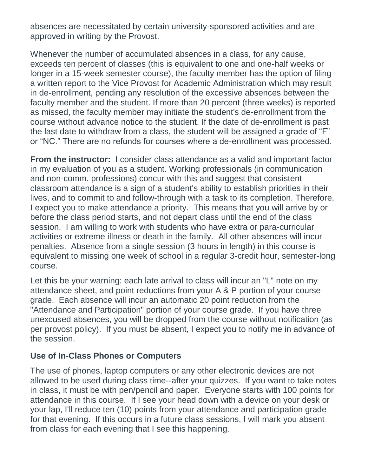absences are necessitated by certain university-sponsored activities and are approved in writing by the Provost.

Whenever the number of accumulated absences in a class, for any cause, exceeds ten percent of classes (this is equivalent to one and one-half weeks or longer in a 15-week semester course), the faculty member has the option of filing a written report to the Vice Provost for Academic Administration which may result in de-enrollment, pending any resolution of the excessive absences between the faculty member and the student. If more than 20 percent (three weeks) is reported as missed, the faculty member may initiate the student's de-enrollment from the course without advance notice to the student. If the date of de-enrollment is past the last date to withdraw from a class, the student will be assigned a grade of "F" or "NC." There are no refunds for courses where a de-enrollment was processed.

**From the instructor:** I consider class attendance as a valid and important factor in my evaluation of you as a student. Working professionals (in communication and non-comm. professions) concur with this and suggest that consistent classroom attendance is a sign of a student's ability to establish priorities in their lives, and to commit to and follow-through with a task to its completion. Therefore, I expect you to make attendance a priority. This means that you will arrive by or before the class period starts, and not depart class until the end of the class session. I am willing to work with students who have extra or para-curricular activities or extreme illness or death in the family. All other absences will incur penalties. Absence from a single session (3 hours in length) in this course is equivalent to missing one week of school in a regular 3-credit hour, semester-long course.

Let this be your warning: each late arrival to class will incur an "L" note on my attendance sheet, and point reductions from your A & P portion of your course grade. Each absence will incur an automatic 20 point reduction from the "Attendance and Participation" portion of your course grade. If you have three unexcused absences, you will be dropped from the course without notification (as per provost policy). If you must be absent, I expect you to notify me in advance of the session.

### **Use of In-Class Phones or Computers**

The use of phones, laptop computers or any other electronic devices are not allowed to be used during class time--after your quizzes. If you want to take notes in class, it must be with pen/pencil and paper. Everyone starts with 100 points for attendance in this course. If I see your head down with a device on your desk or your lap, I'll reduce ten (10) points from your attendance and participation grade for that evening. If this occurs in a future class sessions, I will mark you absent from class for each evening that I see this happening.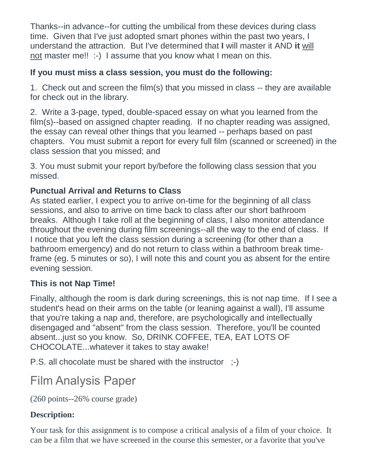Thanks--in advance--for cutting the umbilical from these devices during class time. Given that I've just adopted smart phones within the past two years, I understand the attraction. But I've determined that **I** will master it AND **it** will not master me!! :-) I assume that you know what I mean on this.

## **If you must miss a class session, you must do the following:**

1. Check out and screen the film(s) that you missed in class -- they are available for check out in the library.

2. Write a 3-page, typed, double-spaced essay on what you learned from the film(s)--based on assigned chapter reading. If no chapter reading was assigned, the essay can reveal other things that you learned -- perhaps based on past chapters. You must submit a report for every full film (scanned or screened) in the class session that you missed; and

3. You must submit your report by/before the following class session that you missed.

## **Punctual Arrival and Returns to Class**

As stated earlier, I expect you to arrive on-time for the beginning of all class sessions, and also to arrive on time back to class after our short bathroom breaks. Although I take roll at the beginning of class, I also monitor attendance throughout the evening during film screenings--all the way to the end of class. If I notice that you left the class session during a screening (for other than a bathroom emergency) and do not return to class within a bathroom break timeframe (eg. 5 minutes or so), I will note this and count you as absent for the entire evening session.

## **This is not Nap Time!**

Finally, although the room is dark during screenings, this is not nap time. If I see a student's head on their arms on the table (or leaning against a wall), I'll assume that you're taking a nap and, therefore, are psychologically and intellectually disengaged and "absent" from the class session. Therefore, you'll be counted absent...just so you know. So, DRINK COFFEE, TEA, EAT LOTS OF CHOCOLATE...whatever it takes to stay awake!

P.S. all chocolate must be shared with the instructor ;-)

# Film Analysis Paper

(260 points--26% course grade)

## **Description:**

Your task for this assignment is to compose a critical analysis of a film of your choice. It can be a film that we have screened in the course this semester, or a favorite that you've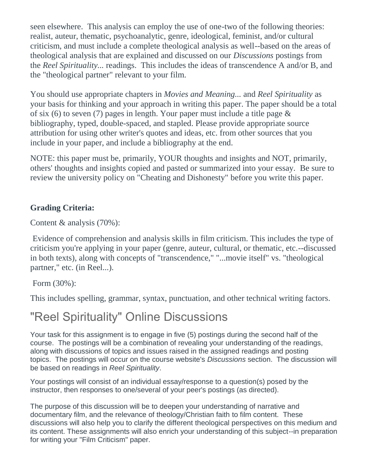seen elsewhere. This analysis can employ the use of one-two of the following theories: realist, auteur, thematic, psychoanalytic, genre, ideological, feminist, and/or cultural criticism, and must include a complete theological analysis as well--based on the areas of theological analysis that are explained and discussed on our *Discussions* postings from the *Reel Spirituality...* readings. This includes the ideas of transcendence A and/or B, and the "theological partner" relevant to your film.

You should use appropriate chapters in *Movies and Meaning...* and *Reel Spirituality* as your basis for thinking and your approach in writing this paper. The paper should be a total of six (6) to seven (7) pages in length. Your paper must include a title page & bibliography, typed, double-spaced, and stapled. Please provide appropriate source attribution for using other writer's quotes and ideas, etc. from other sources that you include in your paper, and include a bibliography at the end.

NOTE: this paper must be, primarily, YOUR thoughts and insights and NOT, primarily, others' thoughts and insights copied and pasted or summarized into your essay. Be sure to review the university policy on "Cheating and Dishonesty" before you write this paper.

### **Grading Criteria:**

Content & analysis (70%):

Evidence of comprehension and analysis skills in film criticism. This includes the type of criticism you're applying in your paper (genre, auteur, cultural, or thematic, etc.--discussed in both texts), along with concepts of "transcendence," "...movie itself" vs. "theological partner," etc. (in Reel...).

### Form (30%):

This includes spelling, grammar, syntax, punctuation, and other technical writing factors.

# "Reel Spirituality" Online Discussions

Your task for this assignment is to engage in five (5) postings during the second half of the course. The postings will be a combination of revealing your understanding of the readings, along with discussions of topics and issues raised in the assigned readings and posting topics. The postings will occur on the course website's *Discussions* section. The discussion will be based on readings in *Reel Spirituality*.

Your postings will consist of an individual essay/response to a question(s) posed by the instructor, then responses to one/several of your peer's postings (as directed).

The purpose of this discussion will be to deepen your understanding of narrative and documentary film, and the relevance of theology/Christian faith to film content. These discussions will also help you to clarify the different theological perspectives on this medium and its content. These assignments will also enrich your understanding of this subject--in preparation for writing your "Film Criticism" paper.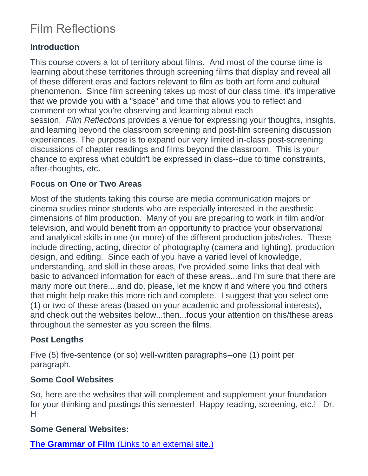# Film Reflections

## **Introduction**

This course covers a lot of territory about films. And most of the course time is learning about these territories through screening films that display and reveal all of these different eras and factors relevant to film as both art form and cultural phenomenon. Since film screening takes up most of our class time, it's imperative that we provide you with a "space" and time that allows you to reflect and comment on what you're observing and learning about each session. *Film Reflections* provides a venue for expressing your thoughts, insights, and learning beyond the classroom screening and post-film screening discussion experiences. The purpose is to expand our very limited in-class post-screening discussions of chapter readings and films beyond the classroom. This is your chance to express what couldn't be expressed in class--due to time constraints, after-thoughts, etc.

### **Focus on One or Two Areas**

Most of the students taking this course are media communication majors or cinema studies minor students who are especially interested in the aesthetic dimensions of film production. Many of you are preparing to work in film and/or television, and would benefit from an opportunity to practice your observational and analytical skills in one (or more) of the different production jobs/roles. These include directing, acting, director of photography (camera and lighting), production design, and editing. Since each of you have a varied level of knowledge, understanding, and skill in these areas, I've provided some links that deal with basic to advanced information for each of these areas...and I'm sure that there are many more out there....and do, please, let me know if and where you find others that might help make this more rich and complete. I suggest that you select one (1) or two of these areas (based on your academic and professional interests), and check out the websites below...then...focus your attention on this/these areas throughout the semester as you screen the films.

## **Post Lengths**

Five (5) five-sentence (or so) well-written paragraphs--one (1) point per paragraph.

### **Some Cool Websites**

So, here are the websites that will complement and supplement your foundation for your thinking and postings this semester! Happy reading, screening, etc.! Dr. H

### **Some General Websites:**

**[The Grammar of Film](http://olympia.osd.wednet.edu/media/olympia/activities/drama_club/film_grammar.pdf)** (Links to an external site.)